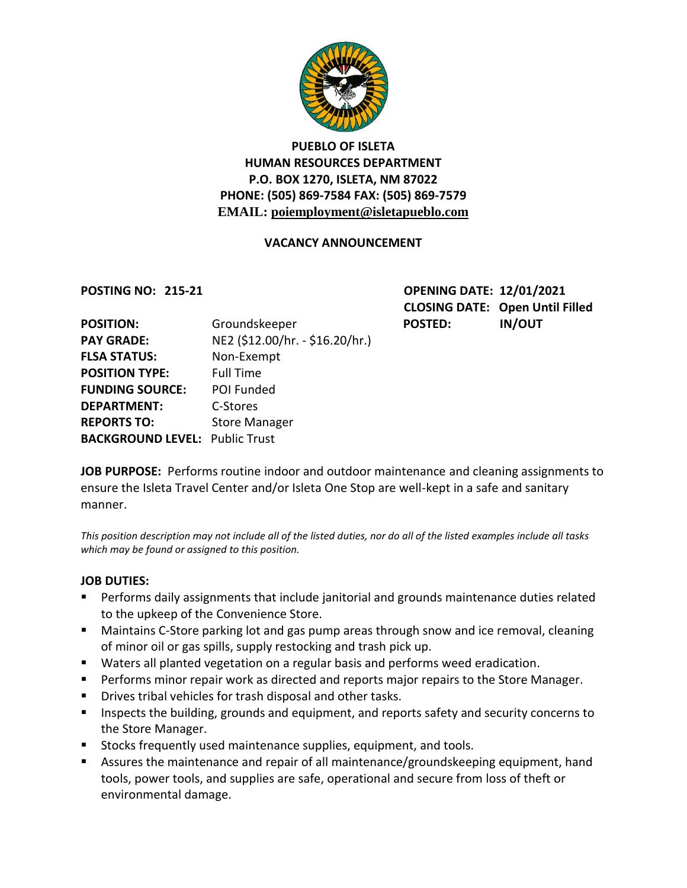

# **PUEBLO OF ISLETA HUMAN RESOURCES DEPARTMENT P.O. BOX 1270, ISLETA, NM 87022 PHONE: (505) 869-7584 FAX: (505) 869-7579 EMAIL: poiemployment@isletapueblo.com**

#### **VACANCY ANNOUNCEMENT**

**POSTING NO: 215-21 OPENING DATE: 12/01/2021 CLOSING DATE: Open Until Filled**

| <b>POSITION:</b>                      | Groundskeeper                   | <b>POSTED:</b> | <b>IN/OUT</b> |
|---------------------------------------|---------------------------------|----------------|---------------|
| <b>PAY GRADE:</b>                     | NE2 (\$12.00/hr. - \$16.20/hr.) |                |               |
| <b>FLSA STATUS:</b>                   | Non-Exempt                      |                |               |
| <b>POSITION TYPE:</b>                 | <b>Full Time</b>                |                |               |
| <b>FUNDING SOURCE:</b>                | POI Funded                      |                |               |
| <b>DEPARTMENT:</b>                    | C-Stores                        |                |               |
| <b>REPORTS TO:</b>                    | <b>Store Manager</b>            |                |               |
| <b>BACKGROUND LEVEL: Public Trust</b> |                                 |                |               |

**JOB PURPOSE:** Performs routine indoor and outdoor maintenance and cleaning assignments to ensure the Isleta Travel Center and/or Isleta One Stop are well-kept in a safe and sanitary manner.

*This position description may not include all of the listed duties, nor do all of the listed examples include all tasks which may be found or assigned to this position.*

#### **JOB DUTIES:**

- Performs daily assignments that include janitorial and grounds maintenance duties related to the upkeep of the Convenience Store.
- Maintains C-Store parking lot and gas pump areas through snow and ice removal, cleaning of minor oil or gas spills, supply restocking and trash pick up.
- Waters all planted vegetation on a regular basis and performs weed eradication.
- **Performs minor repair work as directed and reports major repairs to the Store Manager.**
- **Drives tribal vehicles for trash disposal and other tasks.**
- **Inspects the building, grounds and equipment, and reports safety and security concerns to** the Store Manager.
- **Stocks frequently used maintenance supplies, equipment, and tools.**
- Assures the maintenance and repair of all maintenance/groundskeeping equipment, hand tools, power tools, and supplies are safe, operational and secure from loss of theft or environmental damage.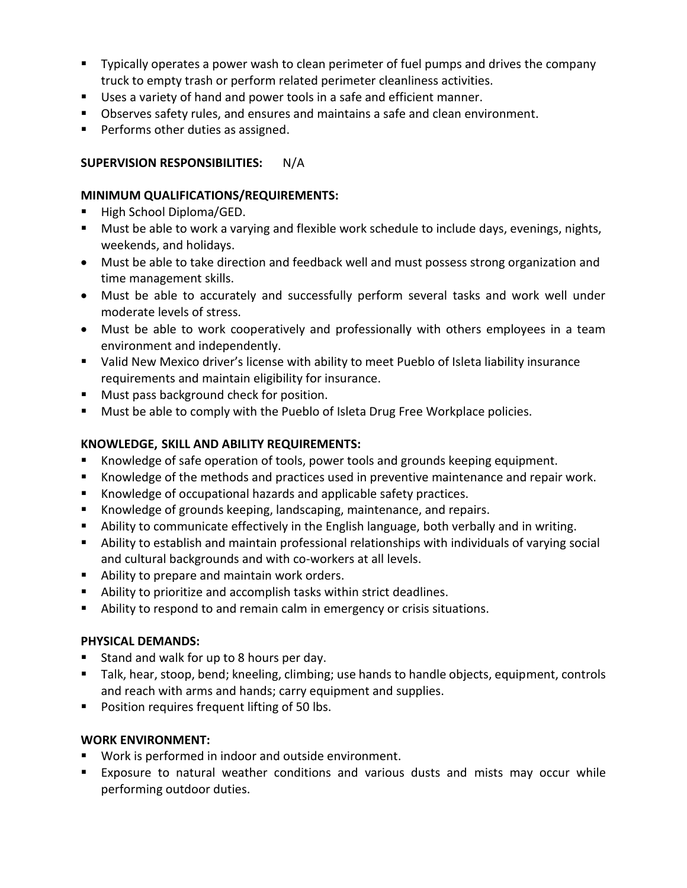- Typically operates a power wash to clean perimeter of fuel pumps and drives the company truck to empty trash or perform related perimeter cleanliness activities.
- Uses a variety of hand and power tools in a safe and efficient manner.
- Observes safety rules, and ensures and maintains a safe and clean environment.
- **Performs other duties as assigned.**

### **SUPERVISION RESPONSIBILITIES:** N/A

#### **MINIMUM QUALIFICATIONS/REQUIREMENTS:**

- High School Diploma/GED.
- Must be able to work a varying and flexible work schedule to include days, evenings, nights, weekends, and holidays.
- Must be able to take direction and feedback well and must possess strong organization and time management skills.
- Must be able to accurately and successfully perform several tasks and work well under moderate levels of stress.
- Must be able to work cooperatively and professionally with others employees in a team environment and independently.
- Valid New Mexico driver's license with ability to meet Pueblo of Isleta liability insurance requirements and maintain eligibility for insurance.
- **Must pass background check for position.**
- **Must be able to comply with the Pueblo of Isleta Drug Free Workplace policies.**

## **KNOWLEDGE, SKILL AND ABILITY REQUIREMENTS:**

- Knowledge of safe operation of tools, power tools and grounds keeping equipment.
- Knowledge of the methods and practices used in preventive maintenance and repair work.
- Knowledge of occupational hazards and applicable safety practices.
- Knowledge of grounds keeping, landscaping, maintenance, and repairs.
- Ability to communicate effectively in the English language, both verbally and in writing.
- Ability to establish and maintain professional relationships with individuals of varying social and cultural backgrounds and with co-workers at all levels.
- Ability to prepare and maintain work orders.
- Ability to prioritize and accomplish tasks within strict deadlines.
- Ability to respond to and remain calm in emergency or crisis situations.

## **PHYSICAL DEMANDS:**

- Stand and walk for up to 8 hours per day.
- Talk, hear, stoop, bend; kneeling, climbing; use hands to handle objects, equipment, controls and reach with arms and hands; carry equipment and supplies.
- **Position requires frequent lifting of 50 lbs.**

## **WORK ENVIRONMENT:**

- Work is performed in indoor and outside environment.
- Exposure to natural weather conditions and various dusts and mists may occur while performing outdoor duties.